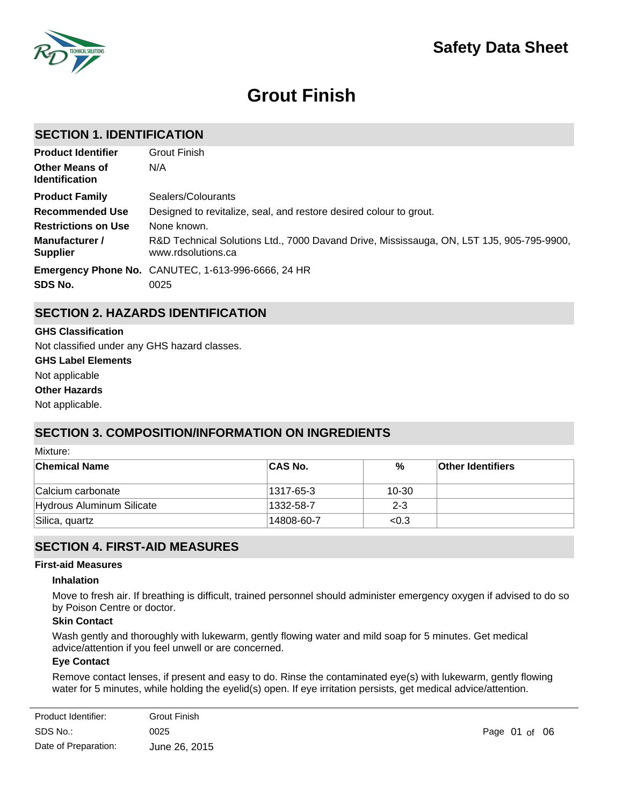

# **Grout Finish**

### **SECTION 1. IDENTIFICATION**

| <b>Product Identifier</b>                      | Grout Finish                                                                                                   |
|------------------------------------------------|----------------------------------------------------------------------------------------------------------------|
| <b>Other Means of</b><br><b>Identification</b> | N/A                                                                                                            |
| <b>Product Family</b>                          | Sealers/Colourants                                                                                             |
| <b>Recommended Use</b>                         | Designed to revitalize, seal, and restore desired colour to grout.                                             |
| <b>Restrictions on Use</b>                     | None known.                                                                                                    |
| Manufacturer /<br><b>Supplier</b>              | R&D Technical Solutions Ltd., 7000 Davand Drive, Mississauga, ON, L5T 1J5, 905-795-9900,<br>www.rdsolutions.ca |
| SDS No.                                        | Emergency Phone No. CANUTEC, 1-613-996-6666, 24 HR<br>0025                                                     |

### **SECTION 2. HAZARDS IDENTIFICATION**

**GHS Label Elements** Not applicable **GHS Classification Other Hazards** Not applicable. Not classified under any GHS hazard classes.

# **SECTION 3. COMPOSITION/INFORMATION ON INGREDIENTS**

Mixture:

| <b>Chemical Name</b>      | <b>CAS No.</b> | %       | <b>Other Identifiers</b> |
|---------------------------|----------------|---------|--------------------------|
| Calcium carbonate         | 1317-65-3      | 10-30   |                          |
| Hydrous Aluminum Silicate | 1332-58-7      | $2 - 3$ |                          |
| Silica, quartz            | 14808-60-7     | < 0.3   |                          |

### **SECTION 4. FIRST-AID MEASURES**

### **First-aid Measures**

#### **Inhalation**

Move to fresh air. If breathing is difficult, trained personnel should administer emergency oxygen if advised to do so by Poison Centre or doctor.

### **Skin Contact**

Wash gently and thoroughly with lukewarm, gently flowing water and mild soap for 5 minutes. Get medical advice/attention if you feel unwell or are concerned.

### **Eye Contact**

Remove contact lenses, if present and easy to do. Rinse the contaminated eye(s) with lukewarm, gently flowing water for 5 minutes, while holding the eyelid(s) open. If eye irritation persists, get medical advice/attention.

| Product Identifier:  | <b>Grout Finish</b> |
|----------------------|---------------------|
| SDS No.:             | 0025                |
| Date of Preparation: | June 26, 2015       |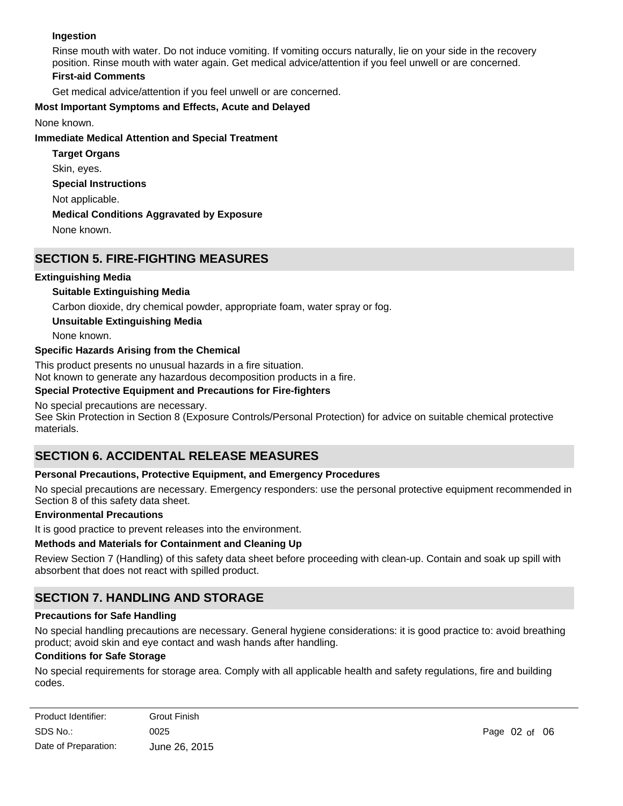### **Ingestion**

Rinse mouth with water. Do not induce vomiting. If vomiting occurs naturally, lie on your side in the recovery position. Rinse mouth with water again. Get medical advice/attention if you feel unwell or are concerned. **First-aid Comments**

# Get medical advice/attention if you feel unwell or are concerned.

### **Most Important Symptoms and Effects, Acute and Delayed**

None known.

### **Immediate Medical Attention and Special Treatment**

**Special Instructions** Not applicable. **Medical Conditions Aggravated by Exposure** None known. **Target Organs** Skin, eyes.

## **SECTION 5. FIRE-FIGHTING MEASURES**

### **Extinguishing Media**

### **Suitable Extinguishing Media**

Carbon dioxide, dry chemical powder, appropriate foam, water spray or fog.

### **Unsuitable Extinguishing Media**

None known.

### **Specific Hazards Arising from the Chemical**

This product presents no unusual hazards in a fire situation.

Not known to generate any hazardous decomposition products in a fire.

### **Special Protective Equipment and Precautions for Fire-fighters**

### No special precautions are necessary.

See Skin Protection in Section 8 (Exposure Controls/Personal Protection) for advice on suitable chemical protective materials.

# **SECTION 6. ACCIDENTAL RELEASE MEASURES**

### **Personal Precautions, Protective Equipment, and Emergency Procedures**

No special precautions are necessary. Emergency responders: use the personal protective equipment recommended in Section 8 of this safety data sheet.

### **Environmental Precautions**

It is good practice to prevent releases into the environment.

### **Methods and Materials for Containment and Cleaning Up**

Review Section 7 (Handling) of this safety data sheet before proceeding with clean-up. Contain and soak up spill with absorbent that does not react with spilled product.

# **SECTION 7. HANDLING AND STORAGE**

### **Precautions for Safe Handling**

No special handling precautions are necessary. General hygiene considerations: it is good practice to: avoid breathing product; avoid skin and eye contact and wash hands after handling.

### **Conditions for Safe Storage**

No special requirements for storage area. Comply with all applicable health and safety regulations, fire and building codes.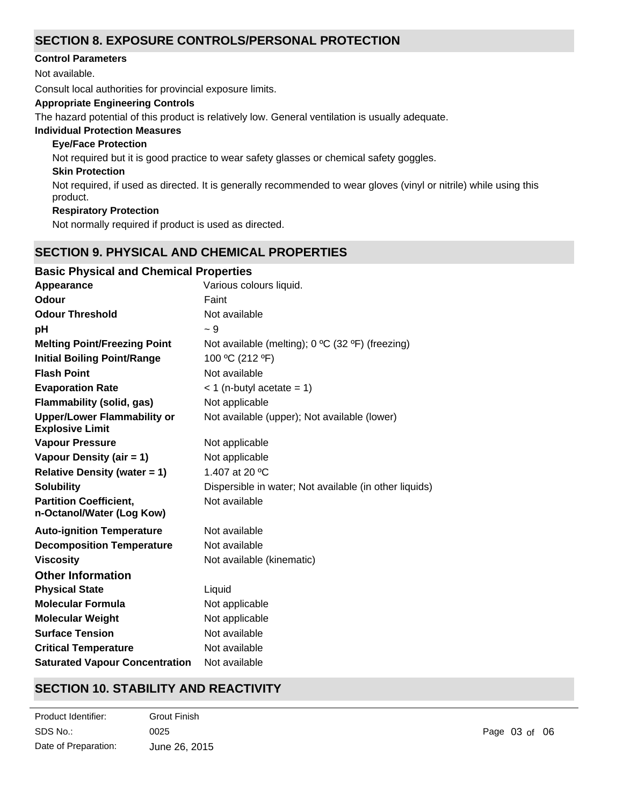## **SECTION 8. EXPOSURE CONTROLS/PERSONAL PROTECTION**

### **Control Parameters**

Not available.

Consult local authorities for provincial exposure limits.

### **Appropriate Engineering Controls**

The hazard potential of this product is relatively low. General ventilation is usually adequate.

### **Individual Protection Measures**

### **Eye/Face Protection**

Not required but it is good practice to wear safety glasses or chemical safety goggles.

### **Skin Protection**

Not required, if used as directed. It is generally recommended to wear gloves (vinyl or nitrile) while using this product.

### **Respiratory Protection**

Not normally required if product is used as directed.

# **SECTION 9. PHYSICAL AND CHEMICAL PROPERTIES**

### **Basic Physical and Chemical Properties**

| Appearance                                                   | Various colours liquid.                                |
|--------------------------------------------------------------|--------------------------------------------------------|
| Odour                                                        | Faint                                                  |
| <b>Odour Threshold</b>                                       | Not available                                          |
| рH                                                           | - 9                                                    |
| <b>Melting Point/Freezing Point</b>                          | Not available (melting); 0 °C (32 °F) (freezing)       |
| <b>Initial Boiling Point/Range</b>                           | 100 °C (212 °F)                                        |
| <b>Flash Point</b>                                           | Not available                                          |
| <b>Evaporation Rate</b>                                      | $<$ 1 (n-butyl acetate = 1)                            |
| Flammability (solid, gas)                                    | Not applicable                                         |
| <b>Upper/Lower Flammability or</b><br><b>Explosive Limit</b> | Not available (upper); Not available (lower)           |
| <b>Vapour Pressure</b>                                       | Not applicable                                         |
| Vapour Density (air = 1)                                     | Not applicable                                         |
| <b>Relative Density (water = 1)</b>                          | 1.407 at 20 °C                                         |
| <b>Solubility</b>                                            | Dispersible in water; Not available (in other liquids) |
| <b>Partition Coefficient,</b><br>n-Octanol/Water (Log Kow)   | Not available                                          |
| <b>Auto-ignition Temperature</b>                             | Not available                                          |
| <b>Decomposition Temperature</b>                             | Not available                                          |
| <b>Viscosity</b>                                             | Not available (kinematic)                              |
| <b>Other Information</b>                                     |                                                        |
| <b>Physical State</b>                                        | Liquid                                                 |
| <b>Molecular Formula</b>                                     | Not applicable                                         |
| <b>Molecular Weight</b>                                      | Not applicable                                         |
| <b>Surface Tension</b>                                       | Not available                                          |
| <b>Critical Temperature</b>                                  | Not available                                          |
| <b>Saturated Vapour Concentration</b>                        | Not available                                          |

# **SECTION 10. STABILITY AND REACTIVITY**

| Product Identifier:  | <b>Grout Finish</b> |
|----------------------|---------------------|
| SDS No.:             | 0025                |
| Date of Preparation: | June 26, 2015       |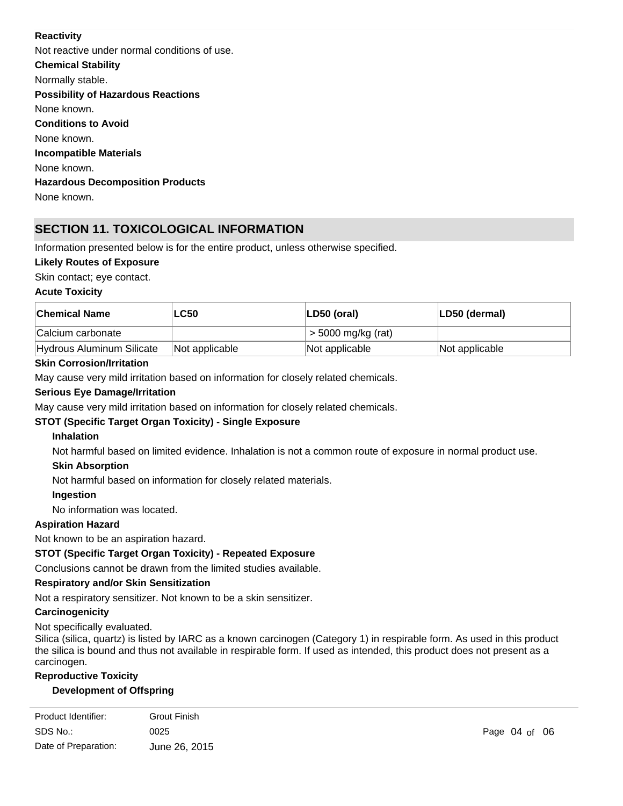### **Reactivity**

**Chemical Stability** Normally stable. **Conditions to Avoid** None known. **Incompatible Materials** None known. **Hazardous Decomposition Products** None known. **Possibility of Hazardous Reactions** None known. Not reactive under normal conditions of use.

# **SECTION 11. TOXICOLOGICAL INFORMATION**

Information presented below is for the entire product, unless otherwise specified.

### **Likely Routes of Exposure**

Skin contact; eye contact.

### **Acute Toxicity**

| ∣Chemical Name            | <b>LC50</b>    | ∣LD50 (oral)         | LD50 (dermal)  |
|---------------------------|----------------|----------------------|----------------|
| Calcium carbonate         |                | $>$ 5000 mg/kg (rat) |                |
| Hydrous Aluminum Silicate | Not applicable | Not applicable       | Not applicable |

### **Skin Corrosion/Irritation**

May cause very mild irritation based on information for closely related chemicals.

### **Serious Eye Damage/Irritation**

May cause very mild irritation based on information for closely related chemicals.

### **STOT (Specific Target Organ Toxicity) - Single Exposure**

### **Inhalation**

Not harmful based on limited evidence. Inhalation is not a common route of exposure in normal product use.

### **Skin Absorption**

Not harmful based on information for closely related materials.

#### **Ingestion**

No information was located.

### **Aspiration Hazard**

Not known to be an aspiration hazard.

### **STOT (Specific Target Organ Toxicity) - Repeated Exposure**

Conclusions cannot be drawn from the limited studies available.

### **Respiratory and/or Skin Sensitization**

Not a respiratory sensitizer. Not known to be a skin sensitizer.

#### **Carcinogenicity**

Not specifically evaluated.

Silica (silica, quartz) is listed by IARC as a known carcinogen (Category 1) in respirable form. As used in this product the silica is bound and thus not available in respirable form. If used as intended, this product does not present as a carcinogen.

### **Reproductive Toxicity**

### **Development of Offspring**

| Product Identifier:  | <b>Grout Finish</b> |
|----------------------|---------------------|
| SDS No.:             | 0025                |
| Date of Preparation: | June 26, 2015       |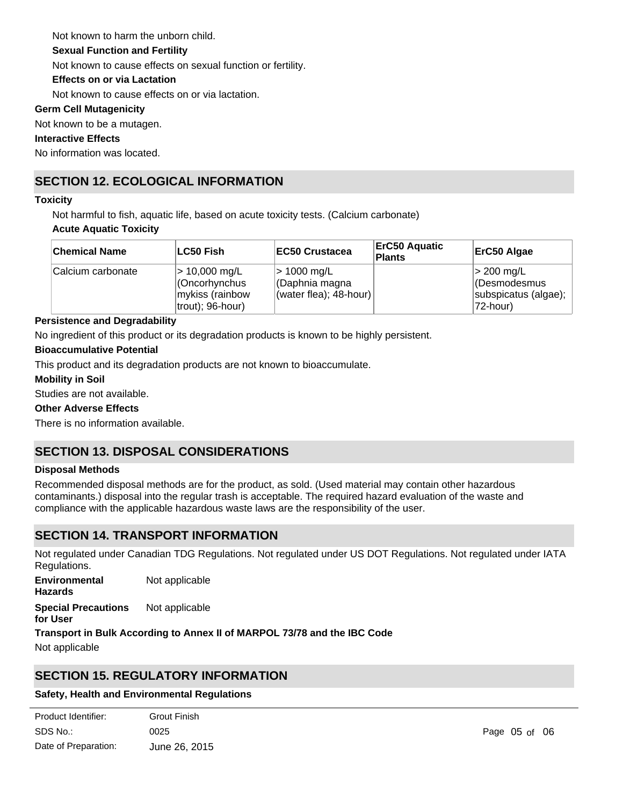Not known to harm the unborn child.

### **Sexual Function and Fertility**

Not known to cause effects on sexual function or fertility.

### **Effects on or via Lactation**

Not known to cause effects on or via lactation.

### **Germ Cell Mutagenicity**

Not known to be a mutagen.

### **Interactive Effects**

No information was located.

# **SECTION 12. ECOLOGICAL INFORMATION**

### **Toxicity**

Not harmful to fish, aquatic life, based on acute toxicity tests. (Calcium carbonate)

### **Acute Aquatic Toxicity**

| <b>Chemical Name</b> | ∣LC50 Fish∶                                                                       | <b>IEC50 Crustacea</b>                                    | <b>ErC50 Aquatic</b><br><b>Plants</b> | ErC50 Algae                                                         |
|----------------------|-----------------------------------------------------------------------------------|-----------------------------------------------------------|---------------------------------------|---------------------------------------------------------------------|
| Calcium carbonate    | $> 10,000 \,\mathrm{mg/L}$<br>Cncorhynchus<br>mykiss (rainbow<br>trout); 96-hour) | > 1000 mg/L<br>CDaphnia magna<br>$(water$ flea); 48-hour) |                                       | $ $ > 200 mg/L<br>(Desmodesmus<br>subspicatus (algae);<br>172-hour) |

### **Persistence and Degradability**

No ingredient of this product or its degradation products is known to be highly persistent.

### **Bioaccumulative Potential**

This product and its degradation products are not known to bioaccumulate.

### **Mobility in Soil**

Studies are not available.

### **Other Adverse Effects**

There is no information available.

# **SECTION 13. DISPOSAL CONSIDERATIONS**

### **Disposal Methods**

Recommended disposal methods are for the product, as sold. (Used material may contain other hazardous contaminants.) disposal into the regular trash is acceptable. The required hazard evaluation of the waste and compliance with the applicable hazardous waste laws are the responsibility of the user.

# **SECTION 14. TRANSPORT INFORMATION**

Not regulated under Canadian TDG Regulations. Not regulated under US DOT Regulations. Not regulated under IATA Regulations.

**Special Precautions for User** Not applicable **Environmental Hazards** Not applicable

**Transport in Bulk According to Annex II of MARPOL 73/78 and the IBC Code**

Not applicable

# **SECTION 15. REGULATORY INFORMATION**

### **Safety, Health and Environmental Regulations**

| Product Identifier:  | Grout Finish  |
|----------------------|---------------|
| SDS No.:             | 0025          |
| Date of Preparation: | June 26, 2015 |